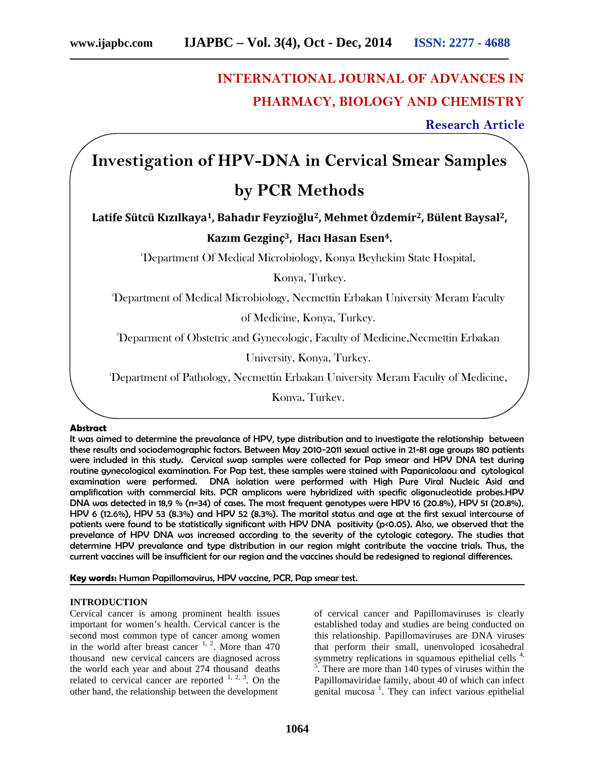## **INTERNATIONAL JOURNAL OF ADVANCES IN PHARMACY, BIOLOGY AND CHEMISTRY**

**Research Article**

# **Investigation of HPV-DNA in Cervical Smear Samples by PCR Methods**

**Latife Sütcü Kızılkaya1, Bahadır Feyzioğlu2, Mehmet Özdemir2, Bülent Baysal2,**

### **Kazım Gezginç3, Hacı Hasan Esen4.**

<sup>1</sup>Department Of Medical Microbiology, Konya Beyhekim State Hospital,

Konya, Turkey.

<sup>2</sup>Department of Medical Microbiology, Necmettin Erbakan University Meram Faculty

of Medicine, Konya, Turkey.

<sup>3</sup>Deparment of Obstetric and Gynecologic, Faculty of Medicine,Necmettin Erbakan

University, Konya, Turkey.

<sup>4</sup>Department of Pathology, Necmettin Erbakan University Meram Faculty of Medicine,

Konya, Turkey.

#### **Abstract**

It was aimed to determine the prevalance of HPV, type distribution and to investigate the relationship between these results and sociodemographic factors. Between May 2010-2011 sexual active in 21-81 age groups 180 patients were included in this study. Cervical swap samples were collected for Pap smear and HPV DNA test during routine gynecological examination. For Pap test, these samples were stained with Papanicolaou and cytological examination were performed. DNA isolation were performed with High Pure Viral Nucleic Asid and amplification with commercial kits. PCR amplicons were hybridized with specific oligonucleotide probes.HPV DNA was detected in 18,9 % (n=34) of cases. The most frequent genotypes were HPV 16 (20.8%), HPV 51 (20.8%), HPV 6 (12.6%), HPV 53 (8.3%) and HPV 52 (8.3%). The marital status and age at the first sexual intercourse of patients were found to be statistically significant with HPV DNA positivity (p<0.05). Also, we observed that the prevelance of HPV DNA was increased according to the severity of the cytologic category. The studies that determine HPV prevalance and type distribution in our region might contribute the vaccine trials. Thus, the current vaccines will be insufficient for our region and the vaccines should be redesigned to regional differences.

**Key words:** Human Papillomavirus, HPV vaccine, PCR, Pap smear test.

#### **INTRODUCTION**

Cervical cancer is among prominent health issues important for women's health. Cervical cancer is the second most common type of cancer among women in the world after breast cancer  $1, 2$ . More than 470 thousand new cervical cancers are diagnosed across the world each year and about 274 thousand deaths related to cervical cancer are reported  $1, 2, 3$ . On the other hand, the relationship between the development

of cervical cancer and Papillomaviruses is clearly established today and studies are being conducted on this relationship. Papillomaviruses are DNA viruses that perform their small, unenvoloped icosahedral symmetry replications in squamous epithelial cells  $4$ ,  $\overline{5}$ . There are more than 140 types of viruses within the Papillomaviridae family, about 40 of which can infect genital mucosa<sup>1</sup>. They can infect various epithelial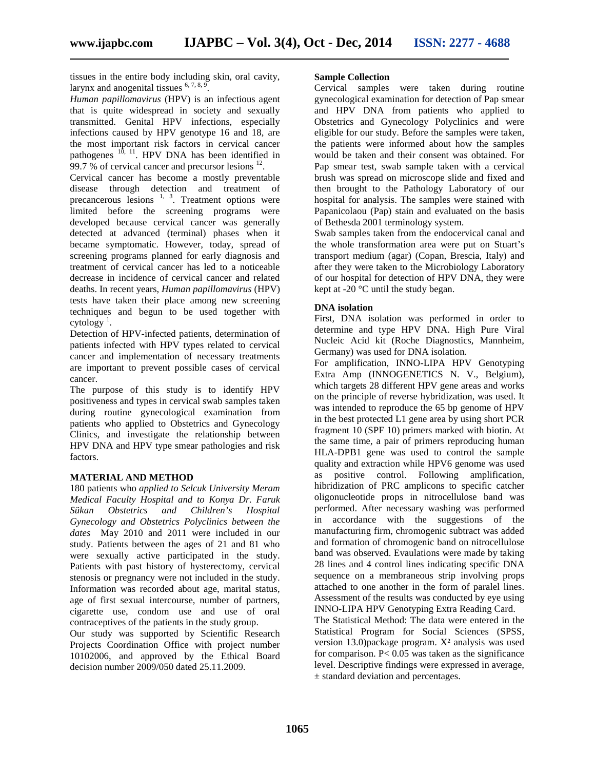tissues in the entire body including skin, oral cavity, larynx and anogenital tissues  $6, 7, 8, 9$ .

*Human papillomavirus* (HPV) is an infectious agent that is quite widespread in society and sexually transmitted. Genital HPV infections, especially infections caused by HPV genotype 16 and 18, are the most important risk factors in cervical cancer pathogenes <sup>10, 11</sup>. HPV DNA has been identified in  $99.7\%$  of cervical cancer and precursor lesions  $^{12}$ .

Cervical cancer has become a mostly preventable disease through detection and treatment of precancerous lesions  $1, 3$ . Treatment options were limited before the screening programs were developed because cervical cancer was generally detected at advanced (terminal) phases when it became symptomatic. However, today, spread of screening programs planned for early diagnosis and treatment of cervical cancer has led to a noticeable decrease in incidence of cervical cancer and related deaths. In recent years, *Human papillomavirus* (HPV) tests have taken their place among new screening techniques and begun to be used together with  $cv$ tology<sup>1</sup>. .

Detection of HPV-infected patients, determination of patients infected with HPV types related to cervical cancer and implementation of necessary treatments are important to prevent possible cases of cervical cancer.

The purpose of this study is to identify HPV positiveness and types in cervical swab samples taken during routine gynecological examination from patients who applied to Obstetrics and Gynecology Clinics, and investigate the relationship between HPV DNA and HPV type smear pathologies and risk factors.

#### **MATERIAL AND METHOD**

180 patients who *applied to Selcuk University Meram Medical Faculty Hospital and to Konya Dr. Faruk Sükan Obstetrics and Children's Hospital Gynecology and Obstetrics Polyclinics between the dates* May 2010 and 2011 were included in our study. Patients between the ages of 21 and 81 who were sexually active participated in the study. Patients with past history of hysterectomy, cervical stenosis or pregnancy were not included in the study. Information was recorded about age, marital status, age of first sexual intercourse, number of partners, cigarette use, condom use and use of oral contraceptives of the patients in the study group.

Our study was supported by Scientific Research Projects Coordination Office with project number 10102006, and approved by the Ethical Board decision number 2009/050 dated 25.11.2009.

#### **Sample Collection**

Cervical samples were taken during routine gynecological examination for detection of Pap smear and HPV DNA from patients who applied to Obstetrics and Gynecology Polyclinics and were eligible for our study. Before the samples were taken, the patients were informed about how the samples would be taken and their consent was obtained. For Pap smear test, swab sample taken with a cervical brush was spread on microscope slide and fixed and then brought to the Pathology Laboratory of our hospital for analysis. The samples were stained with Papanicolaou (Pap) stain and evaluated on the basis of Bethesda 2001 terminology system.

Swab samples taken from the endocervical canal and the whole transformation area were put on Stuart's transport medium (agar) (Copan, Brescia, Italy) and after they were taken to the Microbiology Laboratory of our hospital for detection of HPV DNA, they were kept at -20 $\degree$ C until the study began.

#### **DNA isolation**

First, DNA isolation was performed in order to determine and type HPV DNA. High Pure Viral Nucleic Acid kit (Roche Diagnostics, Mannheim, Germany) was used for DNA isolation.

For amplification, INNO-LIPA HPV Genotyping Extra Amp (INNOGENETICS N. V., Belgium), which targets 28 different HPV gene areas and works on the principle of reverse hybridization, was used. It was intended to reproduce the 65 bp genome of HPV in the best protected L1 gene area by using short PCR fragment 10 (SPF 10) primers marked with biotin. At the same time, a pair of primers reproducing human HLA-DPB1 gene was used to control the sample quality and extraction while HPV6 genome was used as positive control. Following amplification, hibridization of PRC amplicons to specific catcher oligonucleotide props in nitrocellulose band was performed. After necessary washing was performed in accordance with the suggestions of the manufacturing firm, chromogenic subtract was added and formation of chromogenic band on nitrocellulose band was observed. Evaulations were made by taking 28 lines and 4 control lines indicating specific DNA sequence on a membraneous strip involving props attached to one another in the form of paralel lines. Assessment of the results was conducted by eye using INNO-LIPA HPV Genotyping Extra Reading Card.

The Statistical Method: The data were entered in the Statistical Program for Social Sciences (SPSS, version 13.0)package program. X² analysis was used for comparison.  $P < 0.05$  was taken as the significance level. Descriptive findings were expressed in average, ± standard deviation and percentages.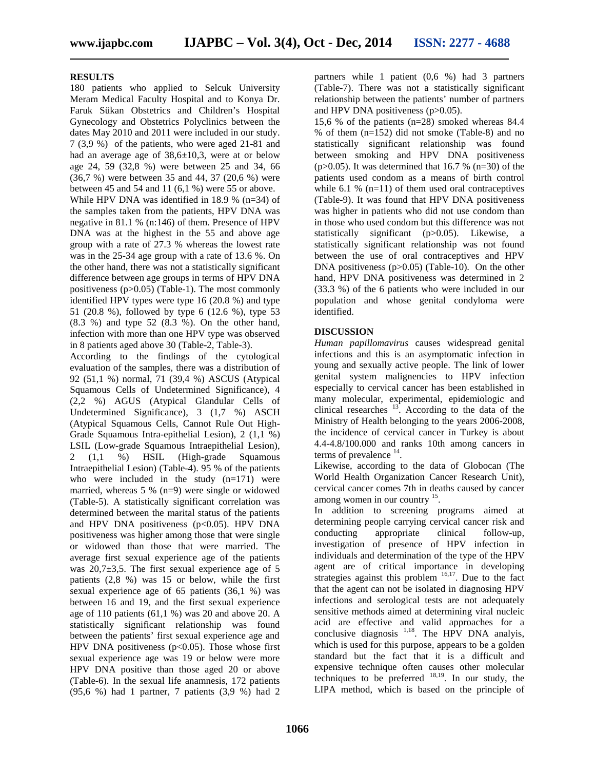#### **RESULTS**

180 patients who applied to Selcuk University Meram Medical Faculty Hospital and to Konya Dr. Faruk Sükan Obstetrics and Children's Hospital Gynecology and Obstetrics Polyclinics between the dates May 2010 and 2011 were included in our study. 7 (3,9 %) of the patients, who were aged 21-81 and had an average age of 38,6±10,3, were at or below age 24, 59 (32,8 %) were between 25 and 34, 66 (36,7 %) were between 35 and 44, 37 (20,6 %) were between 45 and 54 and 11 (6,1 %) were 55 or above. While HPV DNA was identified in 18.9 % (n=34) of the samples taken from the patients, HPV DNA was negative in 81.1 % (n:146) of them. Presence of HPV DNA was at the highest in the 55 and above age group with a rate of 27.3 % whereas the lowest rate was in the 25-34 age group with a rate of 13.6 %. On the other hand, there was not a statistically significant difference between age groups in terms of HPV DNA positiveness (p>0.05) (Table-1). The most commonly identified HPV types were type 16 (20.8 %) and type 51 (20.8 %), followed by type 6 (12.6 %), type 53  $(8.3 \%)$  and type 52  $(8.3 \%)$ . On the other hand, infection with more than one HPV type was observed in 8 patients aged above 30 (Table-2, Table-3).

According to the findings of the cytological evaluation of the samples, there was a distribution of 92 (51,1 %) normal, 71 (39,4 %) ASCUS (Atypical Squamous Cells of Undetermined Significance), 4 (2,2 %) AGUS (Atypical Glandular Cells of Undetermined Significance), 3 (1,7 %) ASCH (Atypical Squamous Cells, Cannot Rule Out High- Grade Squamous Intra-epithelial Lesion), 2 (1,1 %) LSIL (Low-grade Squamous Intraepithelial Lesion), 2 (1,1 %) HSIL (High-grade Squamous Intraepithelial Lesion) (Table-4). 95 % of the patients who were included in the study  $(n=171)$  were married, whereas 5 % (n=9) were single or widowed (Table-5). A statistically significant correlation was determined between the marital status of the patients and HPV DNA positiveness ( $p<0.05$ ). HPV DNA determining<br>nositiveness was higher among those that were single conducting positiveness was higher among those that were single or widowed than those that were married. The average first sexual experience age of the patients was 20,7±3,5. The first sexual experience age of 5 patients (2,8 %) was 15 or below, while the first sexual experience age of 65 patients (36,1 %) was between 16 and 19, and the first sexual experience age of 110 patients (61,1 %) was 20 and above 20. A statistically significant relationship was found between the patients' first sexual experience age and HPV DNA positiveness  $(p<0.05)$ . Those whose first sexual experience age was 19 or below were more HPV DNA positive than those aged 20 or above (Table-6). In the sexual life anamnesis, 172 patients (95,6 %) had 1 partner, 7 patients (3,9 %) had 2

partners while 1 patient (0,6 %) had 3 partners (Table-7). There was not a statistically significant relationship between the patients' number of partners and HPV DNA positiveness (p>0.05).

15,6 % of the patients (n=28) smoked whereas 84.4 % of them (n=152) did not smoke (Table-8) and no statistically significant relationship was found between smoking and HPV DNA positiveness (p $>0.05$ ). It was determined that 16.7 % (n=30) of the patients used condom as a means of birth control while 6.1 %  $(n=11)$  of them used oral contraceptives (Table-9). It was found that HPV DNA positiveness was higher in patients who did not use condom than in those who used condom but this difference was not statistically significant (p>0.05). Likewise, a statistically significant relationship was not found between the use of oral contraceptives and HPV DNA positiveness  $(p>0.05)$  (Table-10). On the other hand, HPV DNA positiveness was determined in 2 (33.3 %) of the 6 patients who were included in our population and whose genital condyloma were identified.

#### **DISCUSSION**

*Human papillomavirus* causes widespread genital infections and this is an asymptomatic infection in young and sexually active people. The link of lower genital system malignencies to HPV infection especially to cervical cancer has been established in many molecular, experimental, epidemiologic and clinical researches  $13$ . According to the data of the Ministry of Health belonging to the years 2006-2008, the incidence of cervical cancer in Turkey is about 4.4-4.8/100.000 and ranks 10th among cancers in terms of prevalence  $14$ .

Likewise, according to the data of Globocan (The World Health Organization Cancer Research Unit), cervical cancer comes 7th in deaths caused by cancer among women in our country <sup>15</sup>.

In addition to screening programs aimed at determining people carrying cervical cancer risk and appropriate clinical follow-up, investigation of presence of HPV infection in individuals and determination of the type of the HPV agent are of critical importance in developing strategies against this problem  $16,17$ . Due to the fact that the agent can not be isolated in diagnosing HPV infections and serological tests are not adequately sensitive methods aimed at determining viral nucleic acid are effective and valid approaches for a conclusive diagnosis  $1,18$ . The HPV DNA analyis, which is used for this purpose, appears to be a golden standard but the fact that it is a difficult and expensive technique often causes other molecular techniques to be preferred  $18,19$ . In our study, the LIPA method, which is based on the principle of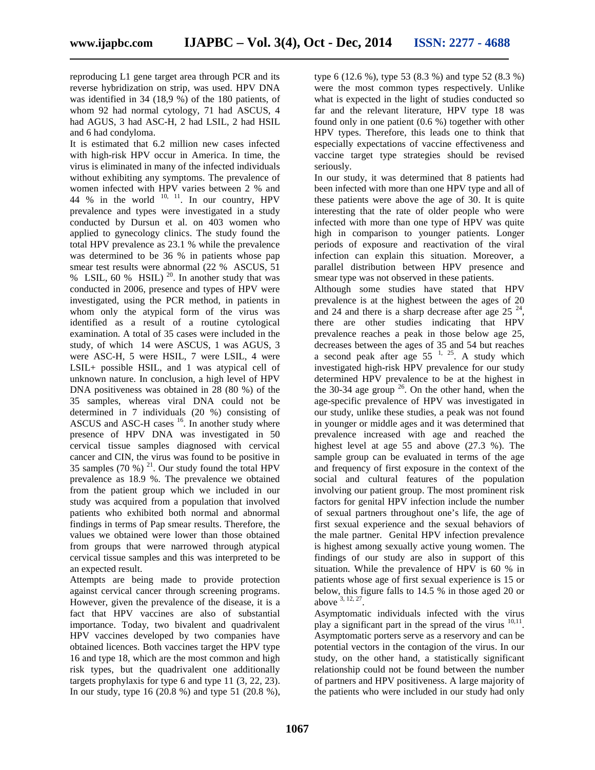reproducing L1 gene target area through PCR and its reverse hybridization on strip, was used. HPV DNA was identified in 34 (18,9 %) of the 180 patients, of whom 92 had normal cytology, 71 had ASCUS, 4 had AGUS, 3 had ASC-H, 2 had LSIL, 2 had HSIL and 6 had condyloma.

It is estimated that 6.2 million new cases infected with high-risk HPV occur in America. In time, the virus is eliminated in many of the infected individuals without exhibiting any symptoms. The prevalence of women infected with HPV varies between 2 % and 44 % in the world  $10, 11$ . In our country, HPV these prevalence and types were investigated in a study conducted by Dursun et al. on 403 women who applied to gynecology clinics. The study found the total HPV prevalence as 23.1 % while the prevalence was determined to be 36 % in patients whose pap smear test results were abnormal (22 % ASCUS, 51 % LSIL, 60 % HSIL)  $^{20}$ . In another study that was conducted in 2006, presence and types of HPV were investigated, using the PCR method, in patients in whom only the atypical form of the virus was identified as a result of a routine cytological examination. A total of 35 cases were included in the study, of which 14 were ASCUS, 1 was AGUS, 3 were ASC-H, 5 were HSIL, 7 were LSIL, 4 were LSIL+ possible HSIL, and 1 was atypical cell of unknown nature. In conclusion, a high level of HPV DNA positiveness was obtained in 28 (80 %) of the 35 samples, whereas viral DNA could not be determined in 7 individuals (20 %) consisting of ASCUS and ASC-H cases  $16$ . In another study where presence of HPV DNA was investigated in 50 cervical tissue samples diagnosed with cervical cancer and CIN, the virus was found to be positive in 35 samples  $(70\%)$ <sup>21</sup>. Our study found the total HPV and prevalence as 18.9 %. The prevalence we obtained from the patient group which we included in our study was acquired from a population that involved patients who exhibited both normal and abnormal findings in terms of Pap smear results. Therefore, the values we obtained were lower than those obtained from groups that were narrowed through atypical cervical tissue samples and this was interpreted to be an expected result.

Attempts are being made to provide protection against cervical cancer through screening programs. However, given the prevalence of the disease, it is a fact that HPV vaccines are also of substantial importance. Today, two bivalent and quadrivalent HPV vaccines developed by two companies have obtained licences. Both vaccines target the HPV type 16 and type 18, which are the most common and high risk types, but the quadrivalent one additionally targets prophylaxis for type 6 and type 11 (3, 22, 23). In our study, type 16 (20.8 %) and type 51 (20.8 %),

type 6 (12.6 %), type 53 (8.3 %) and type 52 (8.3 %) were the most common types respectively. Unlike what is expected in the light of studies conducted so far and the relevant literature, HPV type 18 was found only in one patient (0.6 %) together with other HPV types. Therefore, this leads one to think that especially expectations of vaccine effectiveness and vaccine target type strategies should be revised seriously.

In our study, it was determined that 8 patients had been infected with more than one HPV type and all of these patients were above the age of 30. It is quite interesting that the rate of older people who were infected with more than one type of HPV was quite high in comparison to younger patients. Longer periods of exposure and reactivation of the viral infection can explain this situation. Moreover, a parallel distribution between HPV presence and smear type was not observed in these patients.

Although some studies have stated that HPV prevalence is at the highest between the ages of 20 and 24 and there is a sharp decrease after age  $25^{24}$ , there are other studies indicating that HPV prevalence reaches a peak in those below age 25, decreases between the ages of 35 and 54 but reaches a second peak after age  $55^{-1}$ ,  $2^5$ . A study which investigated high-risk HPV prevalence for our study determined HPV prevalence to be at the highest in the 30-34 age group  $2^6$ . On the other hand, when the age-specific prevalence of HPV was investigated in our study, unlike these studies, a peak was not found in younger or middle ages and it was determined that prevalence increased with age and reached the highest level at age 55 and above (27.3 %). The sample group can be evaluated in terms of the age and frequency of first exposure in the context of the social and cultural features of the population involving our patient group. The most prominent risk factors for genital HPV infection include the number of sexual partners throughout one's life, the age of first sexual experience and the sexual behaviors of the male partner. Genital HPV infection prevalence is highest among sexually active young women. The findings of our study are also in support of this situation. While the prevalence of HPV is 60 % in patients whose age of first sexual experience is 15 or below, this figure falls to 14.5 % in those aged 20 or above  $3, 12, 27$ .

Asymptomatic individuals infected with the virus play a significant part in the spread of the virus  $10,11$ . Asymptomatic porters serve as a reservory and can be potential vectors in the contagion of the virus. In our study, on the other hand, a statistically significant relationship could not be found between the number of partners and HPV positiveness. A large majority of the patients who were included in our study had only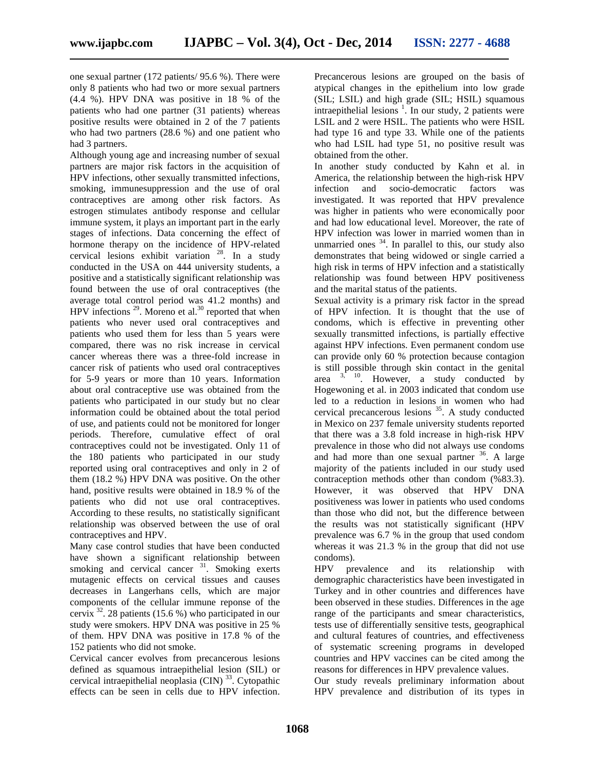one sexual partner (172 patients/ 95.6 %). There were only 8 patients who had two or more sexual partners (4.4 %). HPV DNA was positive in 18 % of the patients who had one partner (31 patients) whereas positive results were obtained in 2 of the 7 patients who had two partners (28.6 %) and one patient who had 3 partners.

Although young age and increasing number of sexual partners are major risk factors in the acquisition of HPV infections, other sexually transmitted infections, smoking, immunesuppression and the use of oral contraceptives are among other risk factors. As estrogen stimulates antibody response and cellular immune system, it plays an important part in the early stages of infections. Data concerning the effect of hormone therapy on the incidence of HPV-related cervical lesions exhibit variation  $28$ . In a study conducted in the USA on 444 university students, a positive and a statistically significant relationship was found between the use of oral contraceptives (the average total control period was 41.2 months) and HPV infections  $^{29}$ . Moreno et al.<sup>30</sup> reported that when patients who never used oral contraceptives and patients who used them for less than 5 years were compared, there was no risk increase in cervical cancer whereas there was a three-fold increase in cancer risk of patients who used oral contraceptives for 5-9 years or more than 10 years. Information about oral contraceptive use was obtained from the patients who participated in our study but no clear information could be obtained about the total period of use, and patients could not be monitored for longer periods. Therefore, cumulative effect of oral contraceptives could not be investigated. Only 11 of the 180 patients who participated in our study reported using oral contraceptives and only in 2 of them (18.2 %) HPV DNA was positive. On the other hand, positive results were obtained in 18.9 % of the patients who did not use oral contraceptives. According to these results, no statistically significant relationship was observed between the use of oral contraceptives and HPV.

Many case control studies that have been conducted have shown a significant relationship between condo smoking and cervical cancer  $3^1$ . Smoking exerts HPV smoking and cervical cancer  $31$ . Smoking exerts mutagenic effects on cervical tissues and causes decreases in Langerhans cells, which are major components of the cellular immune reponse of the cervix  $32$ . 28 patients (15.6 %) who participated in our study were smokers. HPV DNA was positive in 25 % of them. HPV DNA was positive in 17.8 % of the 152 patients who did not smoke.

Cervical cancer evolves from precancerous lesions defined as squamous intraepithelial lesion (SIL) or cervical intraepithelial neoplasia (CIN)<sup>33</sup>. Cytopathic effects can be seen in cells due to HPV infection.

Precancerous lesions are grouped on the basis of atypical changes in the epithelium into low grade (SIL; LSIL) and high grade (SIL; HSIL) squamous intraepithelial lesions  $\frac{1}{1}$ . In our study, 2 patients were LSIL and 2 were HSIL. The patients who were HSIL had type 16 and type 33. While one of the patients who had LSIL had type 51, no positive result was obtained from the other.

In another study conducted by Kahn et al. in America, the relationship between the high-risk HPV infection and socio-democratic factors was investigated. It was reported that HPV prevalence was higher in patients who were economically poor and had low educational level. Moreover, the rate of HPV infection was lower in married women than in unmarried ones  $34$ . In parallel to this, our study also demonstrates that being widowed or single carried a high risk in terms of HPV infection and a statistically relationship was found between HPV positiveness and the marital status of the patients.

Sexual activity is a primary risk factor in the spread of HPV infection. It is thought that the use of condoms, which is effective in preventing other sexually transmitted infections, is partially effective against HPV infections. Even permanent condom use can provide only 60 % protection because contagion is still possible through skin contact in the genital area  $3, 10$ . However, a study conducted by Hogewoning et al. in 2003 indicated that condom use led to a reduction in lesions in women who had cervical precancerous lesions  $35$ . A study conducted in Mexico on 237 female university students reported that there was a 3.8 fold increase in high-risk HPV prevalence in those who did not always use condoms and had more than one sexual partner  $36$ . A large majority of the patients included in our study used contraception methods other than condom (%83.3). However, it was observed that HPV DNA positiveness was lower in patients who used condoms than those who did not, but the difference between the results was not statistically significant (HPV prevalence was 6.7 % in the group that used condom whereas it was 21.3 % in the group that did not use condoms).

prevalence and its relationship with demographic characteristics have been investigated in Turkey and in other countries and differences have been observed in these studies. Differences in the age range of the participants and smear characteristics, tests use of differentially sensitive tests, geographical and cultural features of countries, and effectiveness of systematic screening programs in developed countries and HPV vaccines can be cited among the reasons for differences in HPV prevalence values.

Our study reveals preliminary information about HPV prevalence and distribution of its types in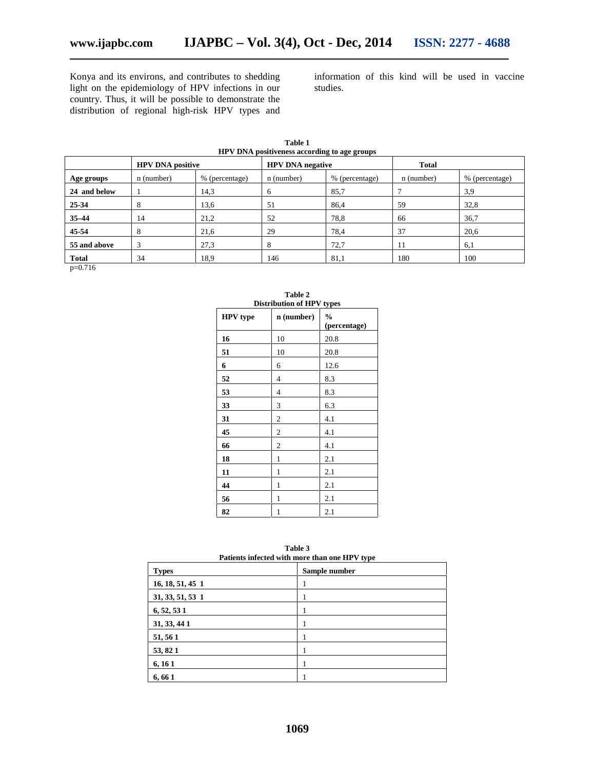Konya and its environs, and contributes to shedding light on the epidemiology of HPV infections in our country. Thus, it will be possible to demonstrate the distribution of regional high-risk HPV types and

information of this kind will be used in vaccine studies.

| $\sim$ = = $\sim$ p = $\sim$ = $\sim$ = $\sim$ $\sim$ $\sim$ $\sim$ $\sim$ $\sim$ $\sim$ p $\sim$ p $\sim$ p $\sim$ p $\sim$ |                |            |                |                         |                |  |  |  |
|------------------------------------------------------------------------------------------------------------------------------|----------------|------------|----------------|-------------------------|----------------|--|--|--|
| <b>HPV DNA positive</b>                                                                                                      |                |            |                | <b>Total</b>            |                |  |  |  |
| n (number)                                                                                                                   | % (percentage) | n (number) | % (percentage) | n (number)              | % (percentage) |  |  |  |
|                                                                                                                              | 14,3           | 6          | 85,7           |                         | 3,9            |  |  |  |
| $\circ$                                                                                                                      | 13.6           | 51         | 86,4           | 59                      | 32,8           |  |  |  |
| 14                                                                                                                           | 21,2           | 52         | 78,8           | 66                      | 36,7           |  |  |  |
| 8                                                                                                                            | 21,6           | 29         | 78,4           | 37                      | 20,6           |  |  |  |
| 3                                                                                                                            | 27,3           | 8          | 72,7           | 11                      | 6,1            |  |  |  |
| 34                                                                                                                           | 18.9           | 146        | 81,1           | 180                     | 100            |  |  |  |
|                                                                                                                              |                |            |                | <b>HPV DNA</b> negative |                |  |  |  |

**Table 1 HPV DNA positiveness according to age groups**

p=0.716

| DISITIDULION OF FIT V TYPES |                |                               |  |  |  |  |  |  |
|-----------------------------|----------------|-------------------------------|--|--|--|--|--|--|
| HPV type                    | $n$ (number)   | $\frac{0}{0}$<br>(percentage) |  |  |  |  |  |  |
| 16                          | 10             | 20.8                          |  |  |  |  |  |  |
| 51                          | 10             | 20.8                          |  |  |  |  |  |  |
| 6                           | 6              | 12.6                          |  |  |  |  |  |  |
| 52                          | 4              | 8.3                           |  |  |  |  |  |  |
| 53                          | 4              | 8.3                           |  |  |  |  |  |  |
| 33                          | 3              | 6.3                           |  |  |  |  |  |  |
| 31                          | $\mathfrak{2}$ | 4.1                           |  |  |  |  |  |  |
| 45                          | $\mathfrak{2}$ | 4.1                           |  |  |  |  |  |  |
| 66                          | $\mathfrak{2}$ | 4.1                           |  |  |  |  |  |  |
| 18                          | 1              | 2.1                           |  |  |  |  |  |  |
| 11                          | $\mathbf{1}$   | 2.1                           |  |  |  |  |  |  |
| 44                          | $\mathbf{1}$   | 2.1                           |  |  |  |  |  |  |
| 56                          | 1              | 2.1                           |  |  |  |  |  |  |
| 82                          | 1              | 2.1                           |  |  |  |  |  |  |

**Table 2 Distribution of HPV types**

| Table 3                                       |  |
|-----------------------------------------------|--|
| Patients infected with more than one HPV type |  |

| I attents inicered with more than one in Teype |               |  |  |  |  |  |
|------------------------------------------------|---------------|--|--|--|--|--|
| <b>Types</b>                                   | Sample number |  |  |  |  |  |
| 16, 18, 51, 45 1                               |               |  |  |  |  |  |
| 31, 33, 51, 53 1                               |               |  |  |  |  |  |
| 6, 52, 531                                     |               |  |  |  |  |  |
| 31, 33, 44 1                                   |               |  |  |  |  |  |
| 51, 56 1                                       |               |  |  |  |  |  |
| 53, 82 1                                       |               |  |  |  |  |  |
| 6, 16 1                                        |               |  |  |  |  |  |
| 6, 66 1                                        |               |  |  |  |  |  |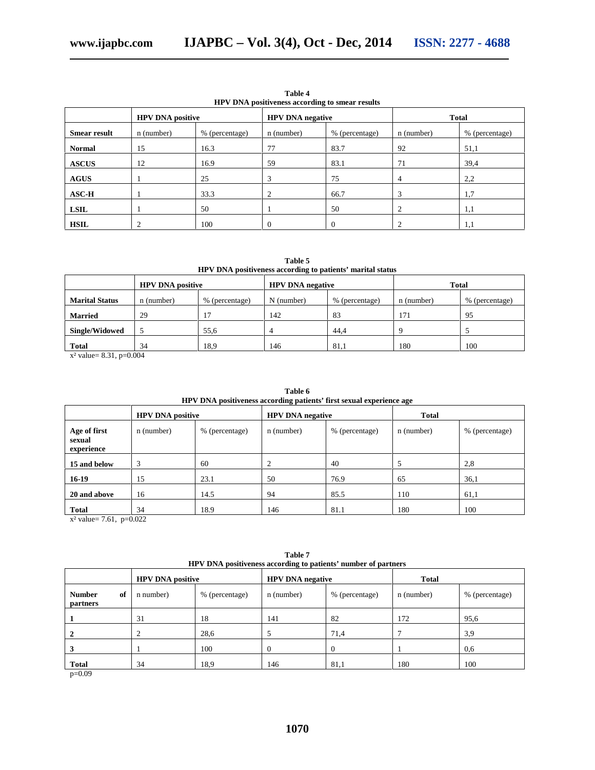| HPV DNA positiveness according to smear results |                         |                |                         |                |              |                |  |  |
|-------------------------------------------------|-------------------------|----------------|-------------------------|----------------|--------------|----------------|--|--|
|                                                 | <b>HPV DNA positive</b> |                | <b>HPV DNA negative</b> |                | <b>Total</b> |                |  |  |
| <b>Smear result</b>                             | n (number)              | % (percentage) | n (number)              | % (percentage) | n (number)   | % (percentage) |  |  |
| <b>Normal</b>                                   | 15                      | 16.3           | 77                      | 83.7           | 92           | 51,1           |  |  |
| <b>ASCUS</b>                                    | 12                      | 16.9           | 59                      | 83.1           | 71           | 39.4           |  |  |
| <b>AGUS</b>                                     |                         | 25             | 3                       | 75             | 4            | 2,2            |  |  |
| $\bf{ASC-H}$                                    |                         | 33.3           | 2                       | 66.7           | 3            | 1,7            |  |  |
| <b>LSIL</b>                                     |                         | 50             |                         | 50             |              | 1,1            |  |  |
| <b>HSIL</b>                                     |                         | 100            | $\Omega$                | $\Omega$       |              | 1,1            |  |  |

**Table 4 HPV DNA positiveness according to smear results**

**Table 5 HPV DNA positiveness according to patients' marital status**

|                       | <b>HPV DNA positive</b>      |                | <b>HPV DNA negative</b> |                | <b>Total</b> |                |
|-----------------------|------------------------------|----------------|-------------------------|----------------|--------------|----------------|
| <b>Marital Status</b> | % (percentage)<br>n (number) |                | $N$ (number)            | % (percentage) | n (number)   | % (percentage) |
| <b>Married</b>        | 29                           | 1 <sub>7</sub> | 142                     | 83             | 171          | 95             |
| <b>Single/Widowed</b> |                              | 55.6           |                         | 44,4           | $\Omega$     |                |
| <b>Total</b>          | 34                           | 18,9           | 146                     | 81.1           | 180          | 100            |

x² value= 8.31, p=0.004

|                                            |            |                         |            | HPV DNA positiveness according patients' first sexual experience age |            |                |
|--------------------------------------------|------------|-------------------------|------------|----------------------------------------------------------------------|------------|----------------|
|                                            |            | <b>HPV DNA positive</b> |            | <b>HPV DNA negative</b>                                              |            |                |
| Age of first<br>sexual<br>experience       | n (number) | % (percentage)          | n (number) | % (percentage)                                                       | n (number) | % (percentage) |
| 15 and below                               | 3          | 60                      | 2          | 40                                                                   |            | 2,8            |
| $16-19$                                    | 15         | 23.1                    | 50         | 76.9                                                                 | 65         | 36,1           |
| 20 and above                               | 16         | 14.5                    | 94         | 85.5                                                                 | 110        | 61,1           |
| <b>Total</b><br>$-2 - 1 - 7$ (1 $-0.022$ ) | 34         | 18.9                    | 146        | 81.1                                                                 | 180        | 100            |

**Table 6**

 $x^2$  value= 7.61, p=0.022

| THE V DINA POSITIVE RESISTENCE TO PARTICLE TRIMPLET OF PARTICLES |                         |                |                         |                |            |                |  |  |
|------------------------------------------------------------------|-------------------------|----------------|-------------------------|----------------|------------|----------------|--|--|
|                                                                  | <b>HPV DNA positive</b> |                | <b>HPV DNA negative</b> | Total          |            |                |  |  |
| <b>Number</b><br>of<br><b>partners</b>                           | n number)               | % (percentage) | n (number)              | % (percentage) | n (number) | % (percentage) |  |  |
|                                                                  | 31                      | 18             | 141                     | 82             | 172        | 95,6           |  |  |
|                                                                  |                         | 28,6           |                         | 71,4           |            | 3,9            |  |  |
|                                                                  |                         | 100            |                         | $\Omega$       |            | 0.6            |  |  |
| <b>Total</b><br>.                                                | 34                      | 18,9           | 146                     | 81,1           | 180        | 100            |  |  |

**Table 7 HPV DNA positiveness according to patients' number of partners**

p=0.09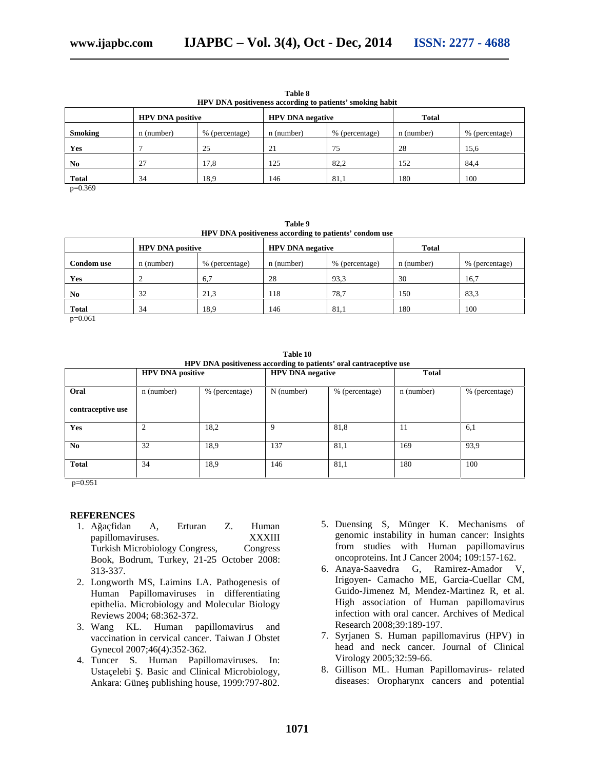| <b>HPV DNA</b> positiveness according to patients' smoking habit |            |                         |            |                         |            |                |  |  |
|------------------------------------------------------------------|------------|-------------------------|------------|-------------------------|------------|----------------|--|--|
|                                                                  |            | <b>HPV DNA positive</b> |            | <b>HPV DNA negative</b> |            |                |  |  |
| <b>Smoking</b>                                                   | n (number) | % (percentage)          | n (number) | % (percentage)          | n (number) | % (percentage) |  |  |
| <b>Yes</b>                                                       |            | 25                      | 21         | 75                      | 28         | 15,6           |  |  |
| N <sub>0</sub>                                                   | 27         | 17,8                    | 125        | 82,2                    | 152        | 84,4           |  |  |
| <b>Total</b>                                                     | 34         | 18.9                    | 146        | 81,1                    | 180        | 100            |  |  |

**Table 8**

p=0.369

**Table 9 HPV DNA positiveness according to patients' condom use**

|                   | <b>HPV DNA positive</b> |                | <b>HPV DNA negative</b> |                | <b>Total</b> |                |
|-------------------|-------------------------|----------------|-------------------------|----------------|--------------|----------------|
| <b>Condom</b> use | n (number)              | % (percentage) | n (number)              | % (percentage) | n (number)   | % (percentage) |
| Yes               |                         | 6.7            | 28                      | 93.3           | 30           | 16,7           |
| N <sub>0</sub>    | 32                      | 21,3           | 118                     | 78,7           | 150          | 83,3           |
| <b>Total</b>      | 34                      | 18,9           | 146                     | 81,1           | 180          | 100            |

p=0.061

**Table 10 HPV DNA positiveness according to patients' oral cantraceptive use**

| <b>HPV DNA positive</b> |                |                | <b>HPV DNA negative</b> |                | <b>Total</b> |                |  |
|-------------------------|----------------|----------------|-------------------------|----------------|--------------|----------------|--|
| Oral                    | n (number)     | % (percentage) | N (number)              | % (percentage) | n (number)   | % (percentage) |  |
| contraceptive use       |                |                |                         |                |              |                |  |
| <b>Yes</b>              | $\overline{2}$ | 18,2           | Q                       | 81,8           | 11           | 6,1            |  |
| N <sub>0</sub>          | 32             | 18,9           | 137                     | 81,1           | 169          | 93.9           |  |
| <b>Total</b>            | 34             | 18,9           | 146                     | 81,1           | 180          | 100            |  |

p=0.951

#### **REFERENCES**

- 1. A açfidan A, Erturan Z. Human papillomaviruses. XXXIII Turkish Microbiology Congress, Congress Book, Bodrum, Turkey, 21-25 October 2008: 313-337.
- 2. Longworth MS, Laimins LA. Pathogenesis of Human Papillomaviruses in differentiating epithelia. Microbiology and Molecular Biology Reviews 2004; 68:362-372.
- 3. Wang KL. Human papillomavirus and vaccination in cervical cancer. Taiwan J Obstet Gynecol 2007;46(4):352-362.
- 4. Tuncer S. Human Papillomaviruses. In: Ustaçelebi . Basic and Clinical Microbiology, Ankara: Güne publishing house, 1999:797-802.
- 5. Duensing S, Münger K. Mechanisms of genomic instability in human cancer: Insights from studies with Human papillomavirus oncoproteins. Int J Cancer 2004; 109:157-162.
- 6. Anaya-Saavedra G, Ramirez-Amador V, Irigoyen- Camacho ME, Garcia-Cuellar CM, Guido-Jimenez M, Mendez-Martinez R, et al. High association of Human papillomavirus infection with oral cancer. Archives of Medical Research 2008;39:189-197.
- 7. Syrjanen S. Human papillomavirus (HPV) in head and neck cancer. Journal of Clinical Virology 2005;32:59-66.
- 8. Gillison ML. Human Papillomavirus- related diseases: Oropharynx cancers and potential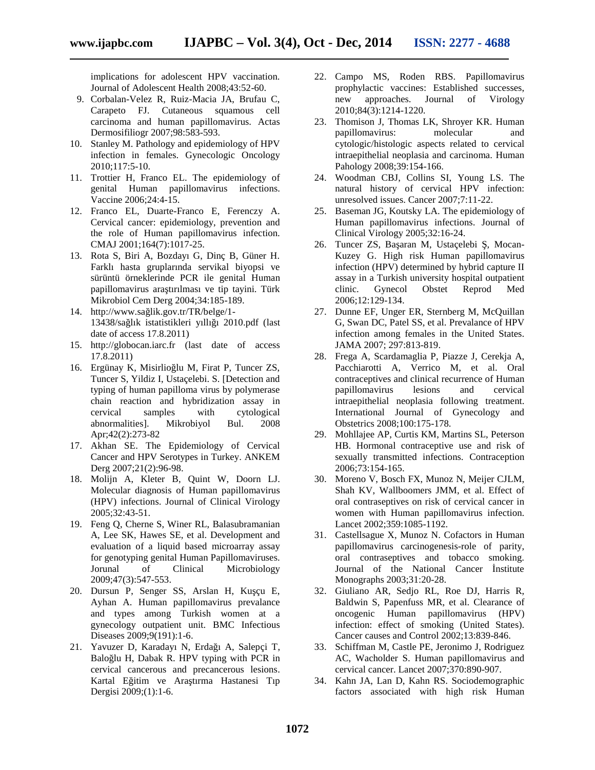implications for adolescent HPV vaccination. Journal of Adolescent Health 2008;43:52-60.

- 9. Corbalan-Velez R, Ruiz-Macia JA, Brufau C, Carapeto FJ. Cutaneous squamous cell carcinoma and human papillomavirus. Actas Dermosifiliogr 2007;98:583-593.
- 10. Stanley M. Pathology and epidemiology of HPV infection in females. Gynecologic Oncology 2010;117:5-10.
- 11. Trottier H, Franco EL. The epidemiology of genital Human papillomavirus infections. Vaccine 2006;24:4-15.
- 12. Franco EL, Duarte-Franco E, Ferenczy A. Cervical cancer: epidemiology, prevention and the role of Human papillomavirus infection. CMAJ 2001;164(7):1017-25.
- 13. Rota S, Biri A, Bozdayı G, Dinç B, Güner H. Farklı hasta gruplarında servikal biyopsi ve sürüntü örneklerinde PCR ile genital Human papillomavirus ara tırılması ve tip tayini. Türk Mikrobiol Cem Derg 2004;34:185-189.
- 14. http://www.sa lik.gov.tr/TR/belge/1-13438/sa lık istatistikleri yıllı 1 2010.pdf (last date of access 17.8.2011)
- 15. http://globocan.iarc.fr (last date of access 17.8.2011)
- 16. Ergünay K, Misirlio lu M, Firat P, Tuncer ZS, Tuncer S, Yildiz I, Ustaçelebi. S. [Detection and typing of human papilloma virus by polymerase chain reaction and hybridization assay in cervical samples with cytological abnormalities]. Mikrobiyol Bul. 2008 Apr;42(2):273-82
- 17. Akhan SE. The Epidemiology of Cervical Cancer and HPV Serotypes in Turkey. ANKEM Derg 2007;21(2):96-98.
- 18. Molijn A, Kleter B, Quint W, Doorn LJ. Molecular diagnosis of Human papillomavirus (HPV) infections. Journal of Clinical Virology 2005;32:43-51.
- 19. Feng Q, Cherne S, Winer RL, Balasubramanian A, Lee SK, Hawes SE, et al. Development and evaluation of a liquid based microarray assay for genotyping genital Human Papillomaviruses.<br>Jorunal of Clinical Microbiology Microbiology 2009;47(3):547-553.
- 20. Dursun P, Senger SS, Arslan H, Kuçu E, Ayhan A. Human papillomavirus prevalance and types among Turkish women at a gynecology outpatient unit. BMC Infectious Diseases 2009;9(191):1-6.
- 21. Yavuzer D, Karadayı N, Erda ı A, Salepçi T, Balo lu H, Dabak R. HPV typing with PCR in cervical cancerous and precancerous lesions. Kartal E itim ve Ara tırma Hastanesi Tıp Dergisi 2009;(1):1-6.
- 22. Campo MS, Roden RBS. Papillomavirus prophylactic vaccines: Established successes, new approaches. Journal of Virology 2010;84(3):1214-1220.
- 23. Thomison J, Thomas LK, Shroyer KR. Human papillomavirus: molecular and cytologic/histologic aspects related to cervical intraepithelial neoplasia and carcinoma. Human Pahology 2008;39:154-166.
- 24. Woodman CBJ, Collins SI, Young LS. The natural history of cervical HPV infection: unresolved issues. Cancer 2007;7:11-22.
- 25. Baseman JG, Koutsky LA. The epidemiology of Human papillomavirus infections. Journal of Clinical Virology 2005;32:16-24.
- 26. Tuncer ZS, Ba aran M, Ustaçelebi , Mocan-Kuzey G. High risk Human papillomavirus infection (HPV) determined by hybrid capture II assay in a Turkish university hospital outpatient<br>clinic. Gynecol Obstet Reprod Med clinic. Gynecol Obstet Reprod Med 2006;12:129-134.
- 27. Dunne EF, Unger ER, Sternberg M, McQuillan G, Swan DC, Patel SS, et al. Prevalance of HPV infection among females in the United States. JAMA 2007; 297:813-819.
- 28. Frega A, Scardamaglia P, Piazze J, Cerekja A, Pacchiarotti A, Verrico M, et al. Oral contraceptives and clinical recurrence of Human papillomavirus lesions and cervical intraepithelial neoplasia following treatment. International Journal of Gynecology and Obstetrics 2008;100:175-178.
- 29. Mohllajee AP, Curtis KM, Martins SL, Peterson HB. Hormonal contraceptive use and risk of sexually transmitted infections. Contraception 2006;73:154-165.
- 30. Moreno V, Bosch FX, Munoz N, Meijer CJLM, Shah KV, Wallboomers JMM, et al. Effect of oral contraseptives on risk of cervical cancer in women with Human papillomavirus infection. Lancet 2002;359:1085-1192.
- 31. Castellsague X, Munoz N. Cofactors in Human papillomavirus carcinogenesis-role of parity, oral contraseptives and tobacco smoking. Journal of the National Cancer nstitute Monographs 2003;31:20-28.
- 32. Giuliano AR, Sedjo RL, Roe DJ, Harris R, Baldwin S, Papenfuss MR, et al. Clearance of oncogenic Human papillomavirus (HPV) infection: effect of smoking (United States). Cancer causes and Control 2002;13:839-846.
- 33. Schiffman M, Castle PE, Jeronimo J, Rodriguez AC, Wacholder S. Human papillomavirus and cervical cancer. Lancet 2007;370:890-907.
- 34. Kahn JA, Lan D, Kahn RS. Sociodemographic factors associated with high risk Human